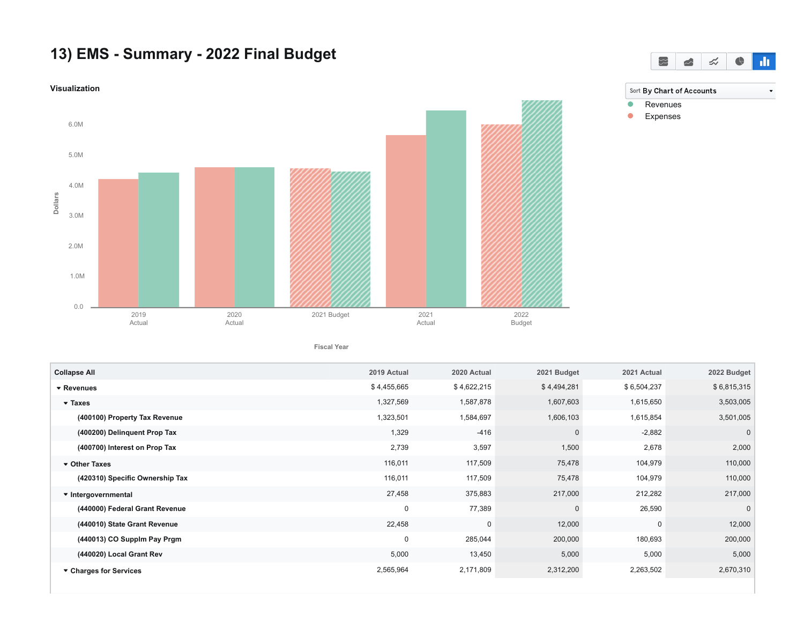## **13) EMS - Summary - 2022 Final Budget**



**Fiscal Year**

| <b>Collapse All</b>             | 2019 Actual | 2020 Actual | 2021 Budget  | 2021 Actual | 2022 Budget |
|---------------------------------|-------------|-------------|--------------|-------------|-------------|
| ▼ Revenues                      | \$4,455,665 | \$4,622,215 | \$4,494,281  | \$6,504,237 | \$6,815,315 |
| $\blacktriangledown$ Taxes      | 1,327,569   | 1,587,878   | 1,607,603    | 1,615,650   | 3,503,005   |
| (400100) Property Tax Revenue   | 1,323,501   | 1,584,697   | 1,606,103    | 1,615,854   | 3,501,005   |
| (400200) Delinquent Prop Tax    | 1,329       | $-416$      | $\Omega$     | $-2,882$    | $\mathbf 0$ |
| (400700) Interest on Prop Tax   | 2,739       | 3,597       | 1,500        | 2,678       | 2,000       |
| ▼ Other Taxes                   | 116,011     | 117,509     | 75,478       | 104,979     | 110,000     |
| (420310) Specific Ownership Tax | 116,011     | 117,509     | 75,478       | 104,979     | 110,000     |
| ▼ Intergovernmental             | 27,458      | 375,883     | 217,000      | 212,282     | 217,000     |
| (440000) Federal Grant Revenue  | $\mathbf 0$ | 77,389      | $\mathbf{0}$ | 26,590      | $\mathbf 0$ |
| (440010) State Grant Revenue    | 22,458      | $\mathbf 0$ | 12,000       | 0           | 12,000      |
| (440013) CO Supplm Pay Prgm     | $\mathbf 0$ | 285,044     | 200,000      | 180,693     | 200,000     |
| (440020) Local Grant Rev        | 5,000       | 13,450      | 5,000        | 5,000       | 5,000       |
| ▼ Charges for Services          | 2,565,964   | 2,171,809   | 2,312,200    | 2,263,502   | 2,670,310   |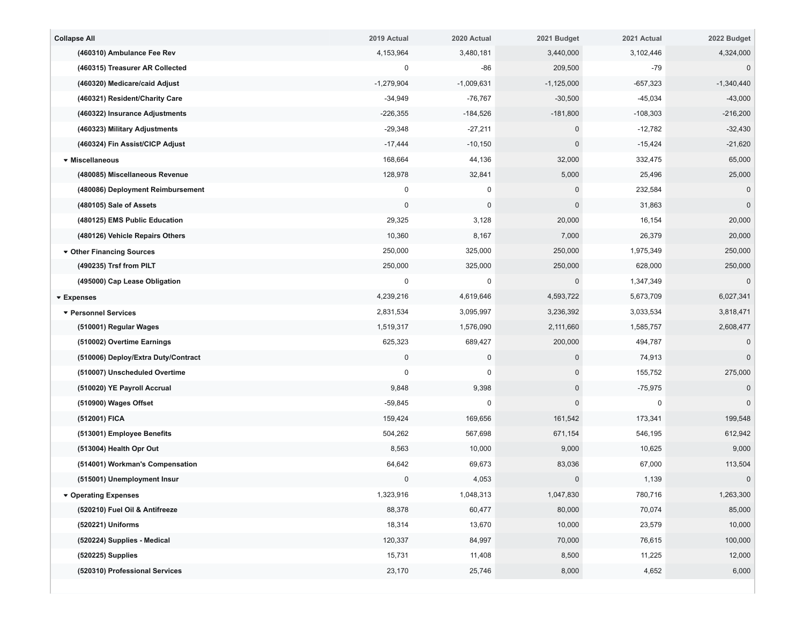| 3,480,181<br>(460310) Ambulance Fee Rev<br>4,153,964<br>3,440,000<br>3,102,446<br>(460315) Treasurer AR Collected<br>0<br>-86<br>209,500<br>-79 | 4,324,000<br>$\mathbf 0$<br>$-1,340,440$ |
|-------------------------------------------------------------------------------------------------------------------------------------------------|------------------------------------------|
|                                                                                                                                                 |                                          |
|                                                                                                                                                 |                                          |
| $-1,279,904$<br>$-1,009,631$<br>$-1,125,000$<br>$-657,323$<br>(460320) Medicare/caid Adjust                                                     |                                          |
| (460321) Resident/Charity Care<br>$-34,949$<br>$-76,767$<br>$-30,500$<br>$-45,034$                                                              | $-43,000$                                |
| $-226,355$<br>$-184,526$<br>$-181,800$<br>$-108,303$<br>(460322) Insurance Adjustments                                                          | $-216,200$                               |
| $-27,211$<br>$-29,348$<br>$-12,782$<br>(460323) Military Adjustments<br>$\mathbf 0$                                                             | $-32,430$                                |
| $-17,444$<br>$-10,150$<br>$\mathbf{0}$<br>$-15,424$<br>(460324) Fin Assist/CICP Adjust                                                          | $-21,620$                                |
| 168,664<br>332,475<br>44,136<br>32,000<br>▼ Miscellaneous                                                                                       | 65,000                                   |
| (480085) Miscellaneous Revenue<br>128,978<br>32,841<br>5,000<br>25,496                                                                          | 25,000                                   |
| 232,584<br>0<br>0<br>(480086) Deployment Reimbursement<br>$\mathbf 0$                                                                           | 0                                        |
| $\mathbf 0$<br>0<br>$\mathbf{0}$<br>31,863<br>(480105) Sale of Assets                                                                           | $\mathbf 0$                              |
| (480125) EMS Public Education<br>29,325<br>3,128<br>20,000<br>16,154                                                                            | 20,000                                   |
| (480126) Vehicle Repairs Others<br>10,360<br>8,167<br>7,000<br>26,379                                                                           | 20,000                                   |
| 1,975,349<br>250,000<br>325,000<br>250,000<br>▼ Other Financing Sources                                                                         | 250,000                                  |
| (490235) Trsf from PILT<br>250,000<br>325,000<br>250,000<br>628,000                                                                             | 250,000                                  |
| 1,347,349<br>(495000) Cap Lease Obligation<br>$\Omega$<br>0                                                                                     |                                          |
| 4,239,216<br>4,619,646<br>4,593,722<br>5,673,709<br>▼ Expenses                                                                                  | 6,027,341                                |
| 2,831,534<br>3,095,997<br>3,236,392<br>3,033,534<br>▼ Personnel Services                                                                        | 3,818,471                                |
| 1,519,317<br>1,576,090<br>2,111,660<br>1,585,757<br>(510001) Regular Wages                                                                      | 2,608,477                                |
| 625,323<br>689,427<br>200,000<br>494,787<br>(510002) Overtime Earnings                                                                          |                                          |
| (510006) Deploy/Extra Duty/Contract<br>$\mathbf 0$<br>0<br>$\mathbf{0}$<br>74,913                                                               | $\mathbf{0}$                             |
| $\mathbf 0$<br>155,752<br>0<br>$\mathbf{0}$<br>(510007) Unscheduled Overtime                                                                    | 275,000                                  |
| 9,848<br>(510020) YE Payroll Accrual<br>9,398<br>$\mathbf{0}$<br>$-75,975$                                                                      | $\mathbf{0}$                             |
| $-59,845$<br>0<br>$\Omega$<br>$\mathbf 0$<br>(510900) Wages Offset                                                                              | $\Omega$                                 |
| 173,341<br>(512001) FICA<br>159,424<br>169,656<br>161,542                                                                                       | 199,548                                  |
| 504,262<br>567,698<br>671,154<br>546,195<br>(513001) Employee Benefits                                                                          | 612,942                                  |
| (513004) Health Opr Out<br>8,563<br>10,000<br>9,000<br>10,625                                                                                   | 9,000                                    |
| (514001) Workman's Compensation<br>64,642<br>69,673<br>83,036<br>67,000                                                                         | 113,504                                  |
| (515001) Unemployment Insur<br>$\mathbf 0$<br>4,053<br>$\mathbf{0}$<br>1,139                                                                    | $\pmb{0}$                                |
| 1,323,916<br>1,048,313<br>1,047,830<br>780,716<br>▼ Operating Expenses                                                                          | 1,263,300                                |
| (520210) Fuel Oil & Antifreeze<br>88,378<br>60,477<br>80,000<br>70,074                                                                          | 85,000                                   |
| 18,314<br>13,670<br>10,000<br>23,579<br>(520221) Uniforms                                                                                       | 10,000                                   |
| 120,337<br>84,997<br>70,000<br>(520224) Supplies - Medical<br>76,615                                                                            | 100,000                                  |
| 15,731<br>11,408<br>8,500<br>11,225<br>(520225) Supplies                                                                                        | 12,000                                   |
| (520310) Professional Services<br>23,170<br>25,746<br>8,000<br>4,652                                                                            | 6,000                                    |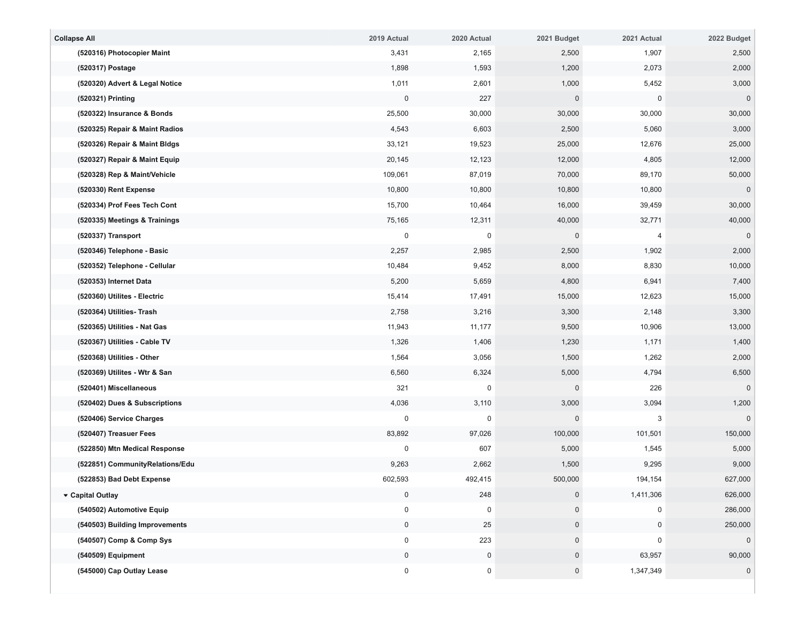| <b>Collapse All</b> |                                 | 2019 Actual | 2020 Actual | 2021 Budget  | 2021 Actual    | 2022 Budget         |
|---------------------|---------------------------------|-------------|-------------|--------------|----------------|---------------------|
|                     | (520316) Photocopier Maint      | 3,431       | 2,165       | 2,500        | 1,907          | 2,500               |
|                     | (520317) Postage                | 1,898       | 1,593       | 1,200        | 2,073          | 2,000               |
|                     | (520320) Advert & Legal Notice  | 1,011       | 2,601       | 1,000        | 5,452          | 3,000               |
|                     | (520321) Printing               | $\pmb{0}$   | 227         | $\Omega$     | 0              | $\mathbf 0$         |
|                     | (520322) Insurance & Bonds      | 25,500      | 30,000      | 30,000       | 30,000         | 30,000              |
|                     | (520325) Repair & Maint Radios  | 4,543       | 6,603       | 2,500        | 5,060          | 3,000               |
|                     | (520326) Repair & Maint Bldgs   | 33,121      | 19,523      | 25,000       | 12,676         | 25,000              |
|                     | (520327) Repair & Maint Equip   | 20,145      | 12,123      | 12,000       | 4,805          | 12,000              |
|                     | (520328) Rep & Maint/Vehicle    | 109,061     | 87,019      | 70,000       | 89,170         | 50,000              |
|                     | (520330) Rent Expense           | 10,800      | 10,800      | 10,800       | 10,800         | $\mathbf 0$         |
|                     | (520334) Prof Fees Tech Cont    | 15,700      | 10,464      | 16,000       | 39,459         | 30,000              |
|                     | (520335) Meetings & Trainings   | 75,165      | 12,311      | 40,000       | 32,771         | 40,000              |
|                     | (520337) Transport              | 0           | 0           | $\mathbf 0$  | $\overline{4}$ | $\mathbf 0$         |
|                     | (520346) Telephone - Basic      | 2,257       | 2,985       | 2,500        | 1,902          | 2,000               |
|                     | (520352) Telephone - Cellular   | 10,484      | 9,452       | 8,000        | 8,830          | 10,000              |
|                     | (520353) Internet Data          | 5,200       | 5,659       | 4,800        | 6,941          | 7,400               |
|                     | (520360) Utilites - Electric    | 15,414      | 17,491      | 15,000       | 12,623         | 15,000              |
|                     | (520364) Utilities- Trash       | 2,758       | 3,216       | 3,300        | 2,148          | 3,300               |
|                     | (520365) Utilities - Nat Gas    | 11,943      | 11,177      | 9,500        | 10,906         | 13,000              |
|                     | (520367) Utilities - Cable TV   | 1,326       | 1,406       | 1,230        | 1,171          | 1,400               |
|                     | (520368) Utilities - Other      | 1,564       | 3,056       | 1,500        | 1,262          | 2,000               |
|                     | (520369) Utilites - Wtr & San   | 6,560       | 6,324       | 5,000        | 4,794          | 6,500               |
|                     | (520401) Miscellaneous          | 321         | 0           | $\mathbf{0}$ | 226            | $\mathbf 0$         |
|                     | (520402) Dues & Subscriptions   | 4,036       | 3,110       | 3,000        | 3,094          | 1,200               |
|                     | (520406) Service Charges        | $\mathbf 0$ | 0           | $\Omega$     | 3              | $\mathbf 0$         |
|                     | (520407) Treasuer Fees          | 83,892      | 97,026      | 100,000      | 101,501        | 150,000             |
|                     | (522850) Mtn Medical Response   | $\mathbf 0$ | 607         | 5,000        | 1,545          | 5,000               |
|                     | (522851) CommunityRelations/Edu | 9,263       | 2,662       | 1,500        | 9,295          | 9,000               |
|                     | (522853) Bad Debt Expense       | 602,593     | 492,415     | 500,000      | 194,154        | 627,000             |
|                     | ▼ Capital Outlay                | $\mathbf 0$ | 248         | $\mathbf{0}$ | 1,411,306      | 626,000             |
|                     | (540502) Automotive Equip       | $\mathbf 0$ | 0           | $\mathbf 0$  | 0              | 286,000             |
|                     | (540503) Building Improvements  | $\pmb{0}$   | 25          | $\mathbf 0$  | $\mathbf 0$    | 250,000             |
|                     | (540507) Comp & Comp Sys        | $\mathbf 0$ | 223         |              | $\Omega$       | $\mathsf{O}\xspace$ |
|                     | (540509) Equipment              | $\pmb{0}$   | $\mathbf 0$ | 0            | 63,957         | 90,000              |
|                     | (545000) Cap Outlay Lease       | 0           | $\pmb{0}$   | $\pmb{0}$    | 1,347,349      | $\pmb{0}$           |